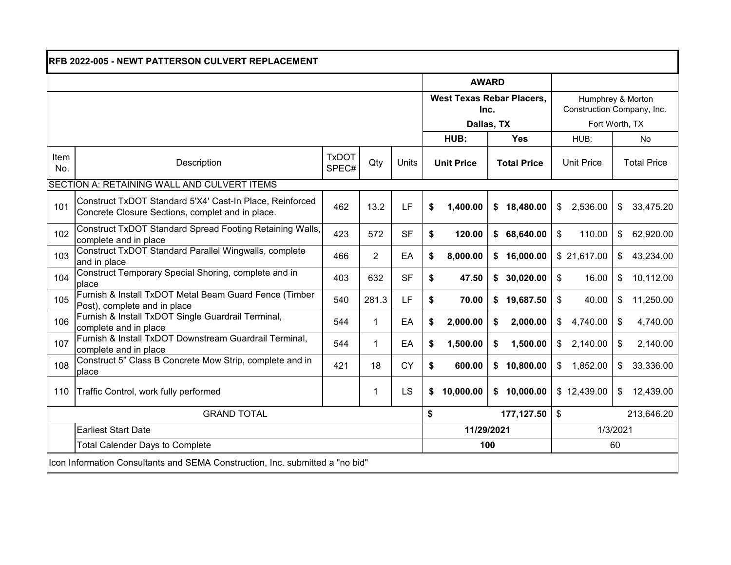| RFB 2022-005 - NEWT PATTERSON CULVERT REPLACEMENT                             |                                                                                                              |                       |                |                                  |                                              |           |                   |                          |                             |  |  |  |
|-------------------------------------------------------------------------------|--------------------------------------------------------------------------------------------------------------|-----------------------|----------------|----------------------------------|----------------------------------------------|-----------|-------------------|--------------------------|-----------------------------|--|--|--|
|                                                                               |                                                                                                              |                       | <b>AWARD</b>   |                                  |                                              |           |                   |                          |                             |  |  |  |
|                                                                               |                                                                                                              |                       |                | <b>West Texas Rebar Placers,</b> | Humphrey & Morton                            |           |                   |                          |                             |  |  |  |
|                                                                               |                                                                                                              |                       | Inc.           |                                  | Construction Company, Inc.<br>Fort Worth, TX |           |                   |                          |                             |  |  |  |
|                                                                               |                                                                                                              |                       | HUB:           | Dallas, TX<br><b>Yes</b>         | HUB:                                         | No        |                   |                          |                             |  |  |  |
|                                                                               |                                                                                                              |                       |                |                                  |                                              |           |                   |                          |                             |  |  |  |
| Item<br>No.                                                                   | Description                                                                                                  | <b>TxDOT</b><br>SPEC# | Qty            | Units                            | <b>Unit Price</b><br><b>Total Price</b>      |           | <b>Unit Price</b> | <b>Total Price</b>       |                             |  |  |  |
| SECTION A: RETAINING WALL AND CULVERT ITEMS                                   |                                                                                                              |                       |                |                                  |                                              |           |                   |                          |                             |  |  |  |
| 101                                                                           | Construct TxDOT Standard 5'X4' Cast-In Place, Reinforced<br>Concrete Closure Sections, complet and in place. | 462                   | 13.2           | LF                               | \$                                           | 1,400.00  | \$18,480.00       | \$<br>2,536.00           | 33,475.20<br>\$             |  |  |  |
| 102                                                                           | Construct TxDOT Standard Spread Footing Retaining Walls,<br>complete and in place                            | 423                   | 572            | <b>SF</b>                        | \$                                           | 120.00    | \$<br>68,640.00   | $\mathfrak{L}$<br>110.00 | $\mathfrak{S}$<br>62,920.00 |  |  |  |
| 103                                                                           | Construct TxDOT Standard Parallel Wingwalls, complete<br>and in place                                        | 466                   | $\overline{2}$ | EA                               | \$                                           | 8,000.00  | \$<br>16,000.00   | \$21,617.00              | 43,234.00<br>\$             |  |  |  |
| 104                                                                           | Construct Temporary Special Shoring, complete and in<br>place                                                | 403                   | 632            | <b>SF</b>                        | \$                                           | 47.50     | 30,020.00<br>\$   | \$<br>16.00              | 10,112.00<br>\$             |  |  |  |
| 105                                                                           | Furnish & Install TxDOT Metal Beam Guard Fence (Timber<br>Post), complete and in place                       | 540                   | 281.3          | LF                               | \$                                           | 70.00     | 19,687.50<br>\$   | \$<br>40.00              | 11,250.00<br>\$             |  |  |  |
| 106                                                                           | Furnish & Install TxDOT Single Guardrail Terminal,<br>complete and in place                                  | 544                   | $\mathbf{1}$   | EA                               | \$                                           | 2,000.00  | 2,000.00<br>\$    | 4,740.00<br>\$           | \$<br>4,740.00              |  |  |  |
| 107                                                                           | Furnish & Install TxDOT Downstream Guardrail Terminal,<br>complete and in place                              | 544                   | $\mathbf{1}$   | EA                               | \$                                           | 1,500.00  | 1,500.00<br>\$    | 2,140.00<br>\$           | \$<br>2,140.00              |  |  |  |
| 108                                                                           | Construct 5" Class B Concrete Mow Strip, complete and in<br>place                                            | 421                   | 18             | <b>CY</b>                        | \$                                           | 600.00    | 10,800.00<br>\$   | 1,852.00<br>\$           | 33,336.00<br>\$             |  |  |  |
| 110                                                                           | Traffic Control, work fully performed                                                                        |                       | 1              | LS                               | \$                                           | 10,000.00 | 10,000.00<br>\$   | \$12,439.00              | 12,439.00<br>\$             |  |  |  |
|                                                                               | <b>GRAND TOTAL</b>                                                                                           | \$                    |                | 177,127.50                       | \$<br>213,646.20                             |           |                   |                          |                             |  |  |  |
|                                                                               | <b>Earliest Start Date</b>                                                                                   |                       | 11/29/2021     |                                  | 1/3/2021                                     |           |                   |                          |                             |  |  |  |
|                                                                               | <b>Total Calender Days to Complete</b>                                                                       | 60<br>100             |                |                                  |                                              |           |                   |                          |                             |  |  |  |
| Icon Information Consultants and SEMA Construction, Inc. submitted a "no bid" |                                                                                                              |                       |                |                                  |                                              |           |                   |                          |                             |  |  |  |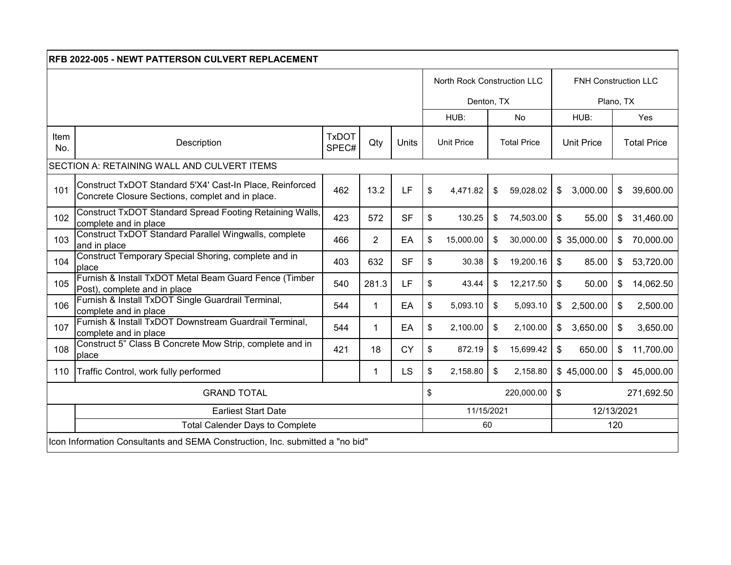| <b>RFB 2022-005 - NEWT PATTERSON CULVERT REPLACEMENT</b>                      |                                                                                                              |                       |                |           |    |                             |            |                    |      |                      |              |                    |  |
|-------------------------------------------------------------------------------|--------------------------------------------------------------------------------------------------------------|-----------------------|----------------|-----------|----|-----------------------------|------------|--------------------|------|----------------------|--------------|--------------------|--|
|                                                                               |                                                                                                              |                       |                |           |    | North Rock Construction LLC |            |                    |      | FNH Construction LLC |              |                    |  |
|                                                                               |                                                                                                              |                       |                |           |    | Denton, TX                  |            |                    |      | Plano, TX            |              |                    |  |
|                                                                               |                                                                                                              |                       |                |           |    | HUB:                        | <b>No</b>  |                    | HUB: |                      | Yes          |                    |  |
| Item<br>No.                                                                   | Description                                                                                                  | <b>TxDOT</b><br>SPEC# | Qty            | Units     |    | <b>Unit Price</b>           |            | <b>Total Price</b> |      | <b>Unit Price</b>    |              | <b>Total Price</b> |  |
| SECTION A: RETAINING WALL AND CULVERT ITEMS                                   |                                                                                                              |                       |                |           |    |                             |            |                    |      |                      |              |                    |  |
| 101                                                                           | Construct TxDOT Standard 5'X4' Cast-In Place, Reinforced<br>Concrete Closure Sections, complet and in place. | 462                   | 13.2           | LF        | \$ | 4,471.82                    | \$         | 59,028.02          | \$   | 3,000.00             | \$           | 39,600.00          |  |
| 102                                                                           | Construct TxDOT Standard Spread Footing Retaining Walls,<br>complete and in place                            | 423                   | 572            | <b>SF</b> | \$ | 130.25                      | \$         | 74,503.00          | \$   | 55.00                | $\mathbb{S}$ | 31,460.00          |  |
| 103                                                                           | Construct TxDOT Standard Parallel Wingwalls, complete<br>and in place                                        | 466                   | $\overline{2}$ | EA        | \$ | 15,000.00                   | \$         | 30,000.00          |      | \$35,000.00          | \$           | 70,000.00          |  |
| 104                                                                           | Construct Temporary Special Shoring, complete and in<br>place                                                | 403                   | 632            | <b>SF</b> | \$ | 30.38                       | \$         | 19,200.16          | \$   | 85.00                | \$           | 53,720.00          |  |
| 105                                                                           | Furnish & Install TxDOT Metal Beam Guard Fence (Timber<br>Post), complete and in place                       | 540                   | 281.3          | LF        | \$ | 43.44                       | \$         | 12,217.50          | \$   | 50.00                | \$           | 14,062.50          |  |
| 106                                                                           | Furnish & Install TxDOT Single Guardrail Terminal,<br>complete and in place                                  | 544                   | 1              | EA        | \$ | 5,093.10                    | \$         | 5,093.10           | \$   | 2,500.00             | \$           | 2,500.00           |  |
| 107                                                                           | Furnish & Install TxDOT Downstream Guardrail Terminal,<br>complete and in place                              | 544                   | $\mathbf 1$    | EA        | \$ | 2,100.00                    | \$         | 2,100.00           | \$   | 3,650.00             | \$           | 3,650.00           |  |
| 108                                                                           | Construct 5" Class B Concrete Mow Strip, complete and in<br>place                                            | 421                   | 18             | <b>CY</b> | \$ | 872.19                      | \$         | 15,699.42          | \$   | 650.00               | \$           | 11,700.00          |  |
| 110                                                                           | Traffic Control, work fully performed                                                                        |                       | 1              | <b>LS</b> | \$ | 2,158.80                    | \$         | 2,158.80           |      | \$45,000.00          | \$           | 45,000.00          |  |
| <b>GRAND TOTAL</b>                                                            |                                                                                                              |                       |                |           |    | \$<br>220,000.00            |            |                    |      | \$<br>271,692.50     |              |                    |  |
|                                                                               | <b>Earliest Start Date</b>                                                                                   | 11/15/2021            |                |           |    |                             | 12/13/2021 |                    |      |                      |              |                    |  |
|                                                                               | <b>Total Calender Days to Complete</b>                                                                       |                       | 120<br>60      |           |    |                             |            |                    |      |                      |              |                    |  |
| Icon Information Consultants and SEMA Construction, Inc. submitted a "no bid" |                                                                                                              |                       |                |           |    |                             |            |                    |      |                      |              |                    |  |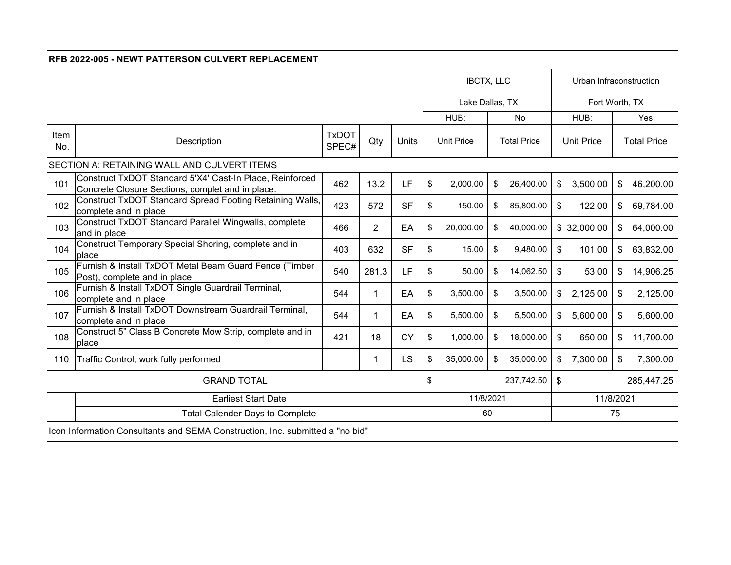| <b>RFB 2022-005 - NEWT PATTERSON CULVERT REPLACEMENT</b>                      |                                                                                                              |                       |                |           |    |                   |                   |                    |    |                   |                           |                    |  |  |
|-------------------------------------------------------------------------------|--------------------------------------------------------------------------------------------------------------|-----------------------|----------------|-----------|----|-------------------|-------------------|--------------------|----|-------------------|---------------------------|--------------------|--|--|
|                                                                               |                                                                                                              |                       |                |           |    |                   | <b>IBCTX, LLC</b> |                    |    |                   | Urban Infraconstruction   |                    |  |  |
|                                                                               |                                                                                                              |                       |                |           |    |                   | Lake Dallas, TX   |                    |    |                   | Fort Worth, TX            |                    |  |  |
|                                                                               |                                                                                                              |                       |                |           |    | HUB:              |                   | <b>No</b>          |    | HUB:              |                           | Yes                |  |  |
| Item<br>No.                                                                   | Description                                                                                                  | <b>TxDOT</b><br>SPEC# | Qty            | Units     |    | <b>Unit Price</b> |                   | <b>Total Price</b> |    | <b>Unit Price</b> |                           | <b>Total Price</b> |  |  |
|                                                                               | SECTION A: RETAINING WALL AND CULVERT ITEMS                                                                  |                       |                |           |    |                   |                   |                    |    |                   |                           |                    |  |  |
| 101                                                                           | Construct TxDOT Standard 5'X4' Cast-In Place, Reinforced<br>Concrete Closure Sections, complet and in place. | 462                   | 13.2           | LF        | \$ | 2,000.00          | \$                | 26,400.00          | \$ | 3,500.00          | $\mathfrak{S}$            | 46,200.00          |  |  |
| 102                                                                           | <b>Construct TxDOT Standard Spread Footing Retaining Walls,</b><br>complete and in place                     | 423                   | 572            | <b>SF</b> | \$ | 150.00            | \$                | 85,800.00          | \$ | 122.00            | \$                        | 69,784.00          |  |  |
| 103                                                                           | Construct TxDOT Standard Parallel Wingwalls, complete<br>and in place                                        | 466                   | $\overline{2}$ | EA        | \$ | 20,000.00         | \$                | 40,000.00          |    | \$32,000.00       | \$                        | 64,000.00          |  |  |
| 104                                                                           | Construct Temporary Special Shoring, complete and in<br>place                                                | 403                   | 632            | <b>SF</b> | \$ | 15.00             | \$                | 9,480.00           | \$ | 101.00            | $\frac{1}{2}$             | 63,832.00          |  |  |
| 105                                                                           | Furnish & Install TxDOT Metal Beam Guard Fence (Timber<br>Post), complete and in place                       | 540                   | 281.3          | LF        | \$ | 50.00             | \$                | 14,062.50          | \$ | 53.00             | $\mathfrak{S}$            | 14,906.25          |  |  |
| 106                                                                           | Furnish & Install TxDOT Single Guardrail Terminal,<br>complete and in place                                  | 544                   | 1              | EA        | \$ | 3,500.00          | \$                | 3,500.00           | \$ | 2,125.00          | \$                        | 2,125.00           |  |  |
| 107                                                                           | Furnish & Install TxDOT Downstream Guardrail Terminal,<br>complete and in place                              | 544                   | 1              | EA        | \$ | 5,500.00          | \$                | 5,500.00           | \$ | 5,600.00          | \$                        | 5,600.00           |  |  |
| 108                                                                           | Construct 5" Class B Concrete Mow Strip, complete and in<br>place                                            | 421                   | 18             | <b>CY</b> | \$ | 1,000.00          | \$                | 18,000.00          | \$ | 650.00            | $\boldsymbol{\mathsf{S}}$ | 11,700.00          |  |  |
| 110                                                                           | Traffic Control, work fully performed                                                                        |                       | 1              | <b>LS</b> | \$ | 35,000.00         | \$                | 35,000.00          | \$ | 7,300.00          | \$                        | 7,300.00           |  |  |
| <b>GRAND TOTAL</b>                                                            |                                                                                                              |                       |                |           |    | \$<br>237,742.50  |                   |                    |    | 285,447.25<br>\$  |                           |                    |  |  |
|                                                                               | <b>Earliest Start Date</b>                                                                                   | 11/8/2021             |                |           |    | 11/8/2021         |                   |                    |    |                   |                           |                    |  |  |
|                                                                               | <b>Total Calender Days to Complete</b>                                                                       | 60                    |                |           |    |                   | 75                |                    |    |                   |                           |                    |  |  |
| Icon Information Consultants and SEMA Construction, Inc. submitted a "no bid" |                                                                                                              |                       |                |           |    |                   |                   |                    |    |                   |                           |                    |  |  |